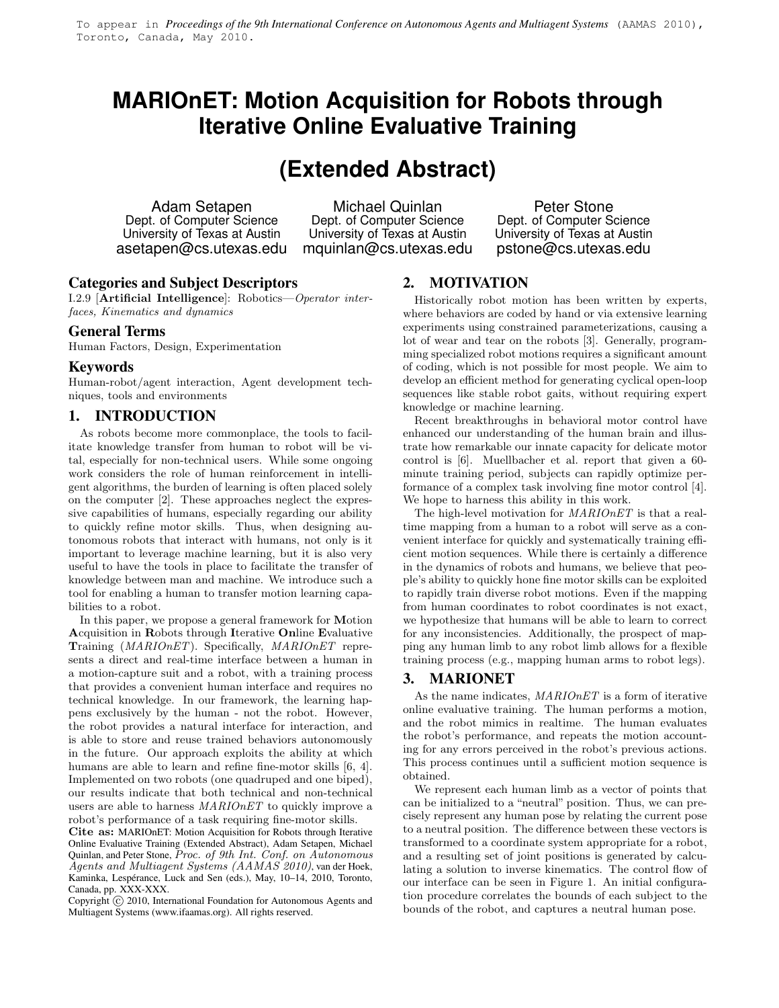# **MARIOnET: Motion Acquisition for Robots through Iterative Online Evaluative Training**

# **(Extended Abstract)**

Adam Setapen Dept. of Computer Science University of Texas at Austin asetapen@cs.utexas.edu

Michael Quinlan Dept. of Computer Science University of Texas at Austin mquinlan@cs.utexas.edu

Peter Stone Dept. of Computer Science University of Texas at Austin pstone@cs.utexas.edu

# **Categories and Subject Descriptors**

I.2.9 [Artificial Intelligence]: Robotics—Operator interfaces, Kinematics and dynamics

#### **General Terms**

Human Factors, Design, Experimentation

### **Keywords**

Human-robot/agent interaction, Agent development techniques, tools and environments

### **1. INTRODUCTION**

As robots become more commonplace, the tools to facilitate knowledge transfer from human to robot will be vital, especially for non-technical users. While some ongoing work considers the role of human reinforcement in intelligent algorithms, the burden of learning is often placed solely on the computer [2]. These approaches neglect the expressive capabilities of humans, especially regarding our ability to quickly refine motor skills. Thus, when designing autonomous robots that interact with humans, not only is it important to leverage machine learning, but it is also very useful to have the tools in place to facilitate the transfer of knowledge between man and machine. We introduce such a tool for enabling a human to transfer motion learning capabilities to a robot.

In this paper, we propose a general framework for Motion Acquisition in Robots through Iterative Online Evaluative Training (MARIOnET). Specifically, MARIOnET represents a direct and real-time interface between a human in a motion-capture suit and a robot, with a training process that provides a convenient human interface and requires no technical knowledge. In our framework, the learning happens exclusively by the human - not the robot. However, the robot provides a natural interface for interaction, and is able to store and reuse trained behaviors autonomously in the future. Our approach exploits the ability at which humans are able to learn and refine fine-motor skills [6, 4]. Implemented on two robots (one quadruped and one biped), our results indicate that both technical and non-technical users are able to harness MARIOnET to quickly improve a robot's performance of a task requiring fine-motor skills.

Cite as: MARIOnET: Motion Acquisition for Robots through Iterative Online Evaluative Training (Extended Abstract), Adam Setapen, Michael Quinlan, and Peter Stone, Proc. of 9th Int. Conf. on Autonomous Agents and Multiagent Systems (AAMAS 2010), van der Hoek, Kaminka, Lespérance, Luck and Sen (eds.), May, 10–14, 2010, Toronto, Canada, pp. XXX-XXX.

Copyright  $\widehat{c}$  2010, International Foundation for Autonomous Agents and Multiagent Systems (www.ifaamas.org). All rights reserved.

# **2. MOTIVATION**

Historically robot motion has been written by experts, where behaviors are coded by hand or via extensive learning experiments using constrained parameterizations, causing a lot of wear and tear on the robots [3]. Generally, programming specialized robot motions requires a significant amount of coding, which is not possible for most people. We aim to develop an efficient method for generating cyclical open-loop sequences like stable robot gaits, without requiring expert knowledge or machine learning.

Recent breakthroughs in behavioral motor control have enhanced our understanding of the human brain and illustrate how remarkable our innate capacity for delicate motor control is [6]. Muellbacher et al. report that given a 60 minute training period, subjects can rapidly optimize performance of a complex task involving fine motor control [4]. We hope to harness this ability in this work.

The high-level motivation for MARIOnET is that a realtime mapping from a human to a robot will serve as a convenient interface for quickly and systematically training efficient motion sequences. While there is certainly a difference in the dynamics of robots and humans, we believe that people's ability to quickly hone fine motor skills can be exploited to rapidly train diverse robot motions. Even if the mapping from human coordinates to robot coordinates is not exact, we hypothesize that humans will be able to learn to correct for any inconsistencies. Additionally, the prospect of mapping any human limb to any robot limb allows for a flexible training process (e.g., mapping human arms to robot legs).

## **3. MARIONET**

As the name indicates,  $MARIOnET$  is a form of iterative online evaluative training. The human performs a motion, and the robot mimics in realtime. The human evaluates the robot's performance, and repeats the motion accounting for any errors perceived in the robot's previous actions. This process continues until a sufficient motion sequence is obtained.

We represent each human limb as a vector of points that can be initialized to a "neutral" position. Thus, we can precisely represent any human pose by relating the current pose to a neutral position. The difference between these vectors is transformed to a coordinate system appropriate for a robot, and a resulting set of joint positions is generated by calculating a solution to inverse kinematics. The control flow of our interface can be seen in Figure 1. An initial configuration procedure correlates the bounds of each subject to the bounds of the robot, and captures a neutral human pose.